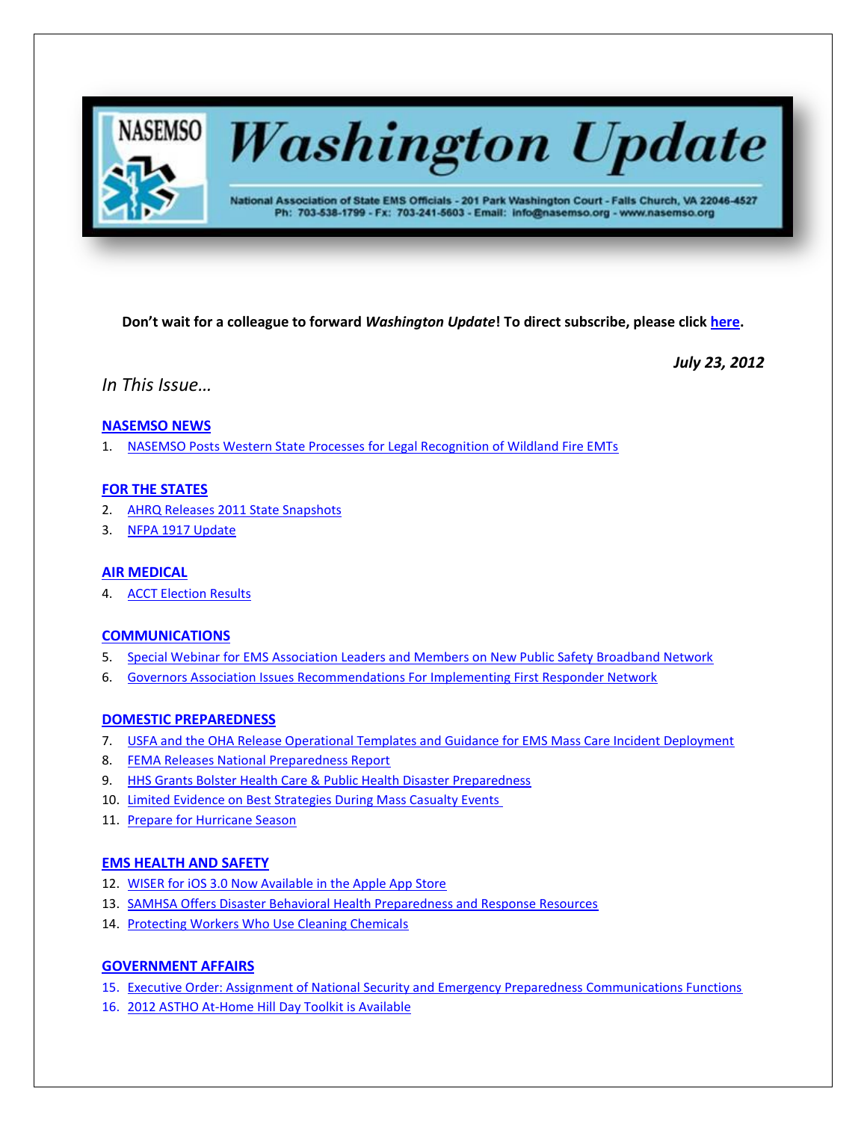

# **Washington Update**

National Association of State EMS Officials - 201 Park Washington Court - Falls Church, VA 22046-4527 Ph: 703-538-1799 - Fx: 703-241-5603 - Email: info@nasemso.org - www.nasemso.org

**Don't wait for a colleague to forward** *Washington Update***! To direct subscribe, please click [here.](http://lists.nasemso.org/read/all_forums/subscribe?name=wu%20)**

*July 23, 2012*

*In This Issue…*

# **[NASEMSO NEWS](#page-1-0)**

1. [NASEMSO Posts Western State Processes for Legal Recognition of Wildland Fire EMTs](#page-1-0)

# **[FOR THE STATES](#page-1-1)**

- 2. [AHRQ Releases 2011 State Snapshots](#page-1-2)
- 3. [NFPA 1917 Update](#page-2-0)

# **[AIR MEDICAL](#page-2-1)**

4. [ACCT Election Results](#page-2-2)

# **[COMMUNICATIONS](#page-2-3)**

- 5. Special Webinar for EMS [Association Leaders and Members on New Public Safety Broadband Network](#page-2-4)
- 6. [Governors Association Issues Recommendations For Implementing First Responder Network](#page-2-0)

# **[DOMESTIC PREPAREDNESS](#page-2-5)**

- 7. [USFA and the OHA Release Operational Templates and Guidance for EMS Mass Care Incident Deployment](#page-2-2)
- 8. [FEMA Releases National Preparedness Report](#page-3-0)
- 9. [HHS Grants Bolster Health Care & Public Health Disaster Preparedness](#page-3-1)
- 10. [Limited Evidence on Best Strategies During Mass Casualty Events](#page-3-2)
- 11. [Prepare for Hurricane Season](#page-3-3)

# **[EMS HEALTH AND SAFETY](#page-3-4)**

- 12. [WISER for iOS 3.0 Now Available in the Apple App Store](#page-3-4)
- 13. [SAMHSA Offers Disaster Behavioral Health Preparedness and Response Resources](#page-3-5)
- 14. [Protecting Workers Who Use Cleaning Chemicals](#page-4-0)

# **[GOVERNMENT AFFAIRS](#page-4-1)**

- 15. [Executive Order: Assignment of National Security and Emergency Preparedness Communications Functions](#page-4-2)
- 16. [2012 ASTHO At-Home Hill Day Toolkit is Available](#page-4-3)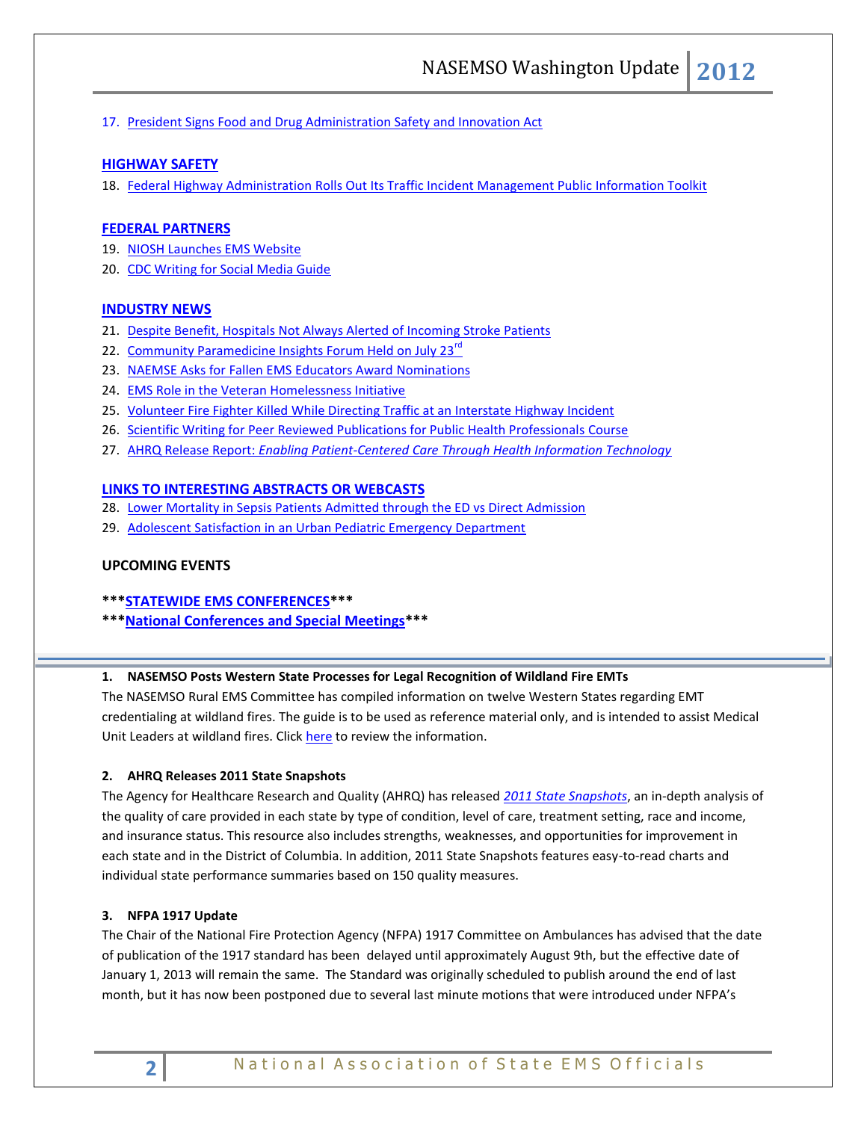17. [President Signs Food and Drug Administration Safety and Innovation Act](#page-4-4)

# **[HIGHWAY SAFETY](#page-4-5)**

18. [Federal Highway Administration Rolls Out Its Traffic Incident Management Public Information Toolkit](#page-4-5)

### **[FEDERAL PARTNERS](#page-4-6)**

- 19. [NIOSH Launches EMS Website](#page-4-7)
- 20. [CDC Writing for Social Media Guide](#page-5-0)

### **[INDUSTRY NEWS](#page-5-1)**

- 21. [Despite Benefit, Hospitals Not Always Alerted of Incoming Stroke Patients](#page-5-2)
- 22. [Community Paramedicine Insights Forum Held on July 23](#page-5-3)<sup>rd</sup>
- 23. [NAEMSE Asks for Fallen EMS Educators Award Nominations](#page-5-4)
- 24. [EMS Role in the Veteran Homelessness Initiative](#page-5-5)
- 25. [Volunteer Fire Fighter Killed While Directing Traffic at an Interstate Highway Incident](#page-6-0)
- 26. [Scientific Writing for Peer Reviewed Publications for Public Health Professionals](#page-6-1) Course
- 27. AHRQ Release Report: *[Enabling Patient-Centered Care Through Health Information Technology](#page-6-2)*

# **[LINKS TO INTERESTING ABSTRACTS OR WEBCASTS](#page-6-3)**

- 28. [Lower Mortality in Sepsis Patients Admitted through the ED vs Direct Admission](#page-6-4)
- 29. [Adolescent Satisfaction in an Urban Pediatric Emergency Department](#page-6-5)

# **UPCOMING EVENTS**

- **\*\*[\\*STATEWIDE EMS CONFERENCES\\*](#page-7-0)\*\***
- **\*\*[\\*National Conferences and Special Meetings\\*](#page-7-1)\*\***

### <span id="page-1-0"></span>**1. NASEMSO Posts Western State Processes for Legal Recognition of Wildland Fire EMTs**

The NASEMSO Rural EMS Committee has compiled information on twelve Western States regarding EMT credentialing at wildland fires. The guide is to be used as reference material only, and is intended to assist Medical Unit Leaders at wildland fires. Click [here](https://www.nasemso.org/Projects/RuralEMS/StateProcesses.asp) to review the information.

### <span id="page-1-2"></span><span id="page-1-1"></span>**2. AHRQ Releases 2011 State Snapshots**

The Agency for Healthcare Research and Quality (AHRQ) has released *[2011 State Snapshots](http://click.bsftransmit1.com/ClickThru.aspx?pubids=8731%7c0327%7c445%7c497&digest=yjqbc9j2Ke5GimwvgeXhwQ&sysid=1)*, an in-depth analysis of the quality of care provided in each state by type of condition, level of care, treatment setting, race and income, and insurance status. This resource also includes strengths, weaknesses, and opportunities for improvement in each state and in the District of Columbia. In addition, 2011 State Snapshots features easy-to-read charts and individual state performance summaries based on 150 quality measures.

### **3. NFPA 1917 Update**

The Chair of the National Fire Protection Agency (NFPA) 1917 Committee on Ambulances has advised that the date of publication of the 1917 standard has been delayed until approximately August 9th, but the effective date of January 1, 2013 will remain the same. The Standard was originally scheduled to publish around the end of last month, but it has now been postponed due to several last minute motions that were introduced under NFPA's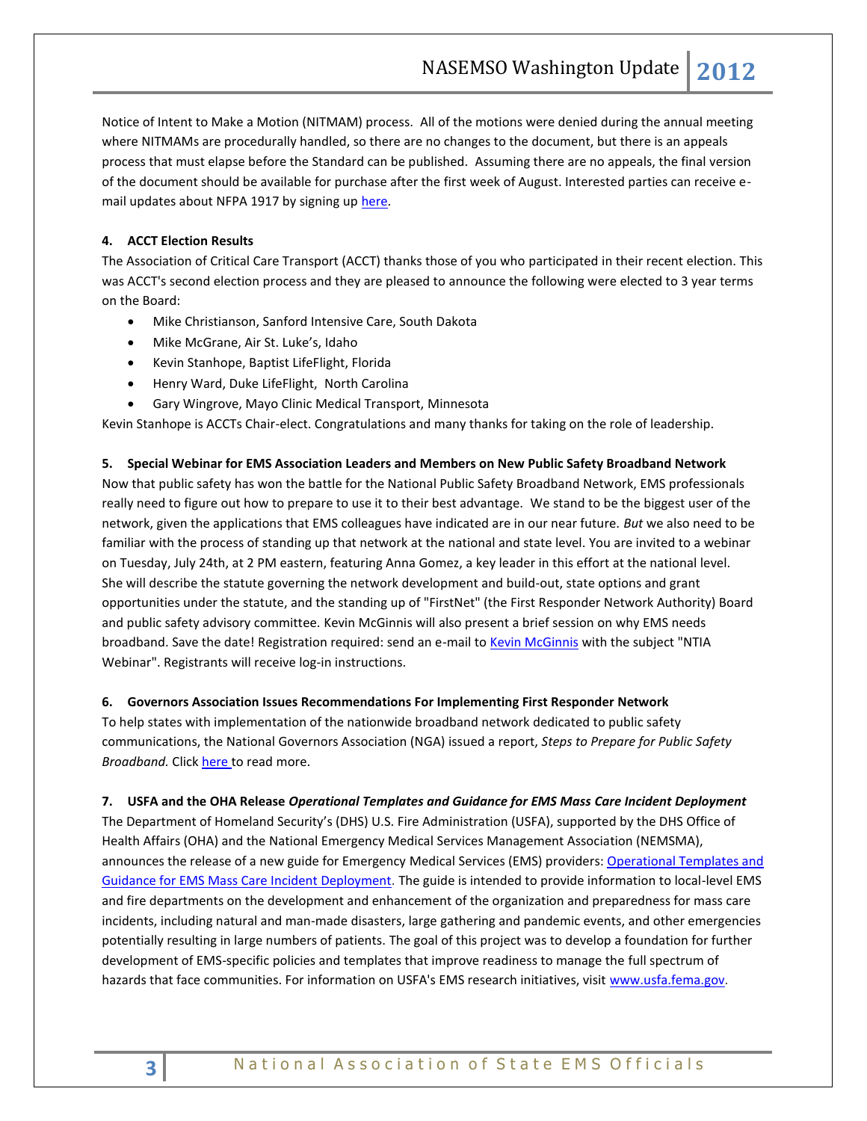Notice of Intent to Make a Motion (NITMAM) process. All of the motions were denied during the annual meeting where NITMAMs are procedurally handled, so there are no changes to the document, but there is an appeals process that must elapse before the Standard can be published. Assuming there are no appeals, the final version of the document should be available for purchase after the first week of August. Interested parties can receive email updates about NFPA 1917 by signing up [here.](http://cts.vresp.com/c/?NationalAssociationo/2029de33ed/a8b1f77e6c/12164c47f1/docnum=1917&tab=docinfo)

# <span id="page-2-1"></span>**4. ACCT Election Results**

The Association of Critical Care Transport (ACCT) thanks those of you who participated in their recent election. This was ACCT's second election process and they are pleased to announce the following were elected to 3 year terms on the Board:

- Mike Christianson, Sanford Intensive Care, South Dakota
- Mike McGrane, Air St. Luke's, Idaho
- Kevin Stanhope, Baptist LifeFlight, Florida
- Henry Ward, Duke LifeFlight, North Carolina
- Gary Wingrove, Mayo Clinic Medical Transport, Minnesota

<span id="page-2-3"></span>Kevin Stanhope is ACCTs Chair-elect. Congratulations and many thanks for taking on the role of leadership.

### <span id="page-2-4"></span>**5. Special Webinar for EMS Association Leaders and Members on New Public Safety Broadband Network**

Now that public safety has won the battle for the National Public Safety Broadband Network, EMS professionals really need to figure out how to prepare to use it to their best advantage. We stand to be the biggest user of the network, given the applications that EMS colleagues have indicated are in our near future. *But* we also need to be familiar with the process of standing up that network at the national and state level. You are invited to a webinar on Tuesday, July 24th, at 2 PM eastern, featuring Anna Gomez, a key leader in this effort at the national level. She will describe the statute governing the network development and build-out, state options and grant opportunities under the statute, and the standing up of "FirstNet" (the First Responder Network Authority) Board and public safety advisory committee. Kevin McGinnis will also present a brief session on why EMS needs broadband. Save the date! Registration required: send an e-mail to Kevin [McGinnis](mailto:mcginnis@nasemso.org?subject=NTIA%20Webinar) with the subject "NTIA Webinar". Registrants will receive log-in instructions.

### <span id="page-2-0"></span>**6. Governors Association Issues Recommendations For Implementing First Responder Network**

To help states with implementation of the nationwide broadband network dedicated to public safety communications, the National Governors Association (NGA) issued a report, *Steps to Prepare for Public Safety Broadband.* Clic[k here t](http://cts.vresp.com/c/?NationalAssociationo/2029de33ed/a8b1f77e6c/6c23ba6f7e)o read more.

### <span id="page-2-5"></span><span id="page-2-2"></span>**7. USFA and the OHA Release** *Operational Templates and Guidance for EMS Mass Care Incident Deployment*

The Department of Homeland Security's (DHS) U.S. Fire Administration (USFA), supported by the DHS Office of Health Affairs (OHA) and the National Emergency Medical Services Management Association (NEMSMA), announces the release of a new guide for Emergency Medical Services (EMS) providers: [Operational Templates and](http://links.govdelivery.com/track?type=click&enid=ZWFzPTEmbWFpbGluZ2lkPTIwMTIwNzEyLjg5OTQ4MjEmbWVzc2FnZWlkPU1EQi1QUkQtQlVMLTIwMTIwNzEyLjg5OTQ4MjEmZGF0YWJhc2VpZD0xMDAxJnNlcmlhbD0xNzA3NDE4OSZlbWFpbGlkPWFsdGVyQG5hc2Vtc28ub3JnJnVzZXJpZD1hbHRlckBuYXNlbXNvLm9yZyZmbD0mZXh0cmE9TXVsdGl2YXJpYXRlSWQ9JiYm&&&102&&&http://www.usfa.fema.gov/downloads/pdf/publications/templates_guidance_ems_mass_incident_deployment.pdf)  [Guidance for EMS Mass Care Incident Deployment.](http://links.govdelivery.com/track?type=click&enid=ZWFzPTEmbWFpbGluZ2lkPTIwMTIwNzEyLjg5OTQ4MjEmbWVzc2FnZWlkPU1EQi1QUkQtQlVMLTIwMTIwNzEyLjg5OTQ4MjEmZGF0YWJhc2VpZD0xMDAxJnNlcmlhbD0xNzA3NDE4OSZlbWFpbGlkPWFsdGVyQG5hc2Vtc28ub3JnJnVzZXJpZD1hbHRlckBuYXNlbXNvLm9yZyZmbD0mZXh0cmE9TXVsdGl2YXJpYXRlSWQ9JiYm&&&102&&&http://www.usfa.fema.gov/downloads/pdf/publications/templates_guidance_ems_mass_incident_deployment.pdf) The guide is intended to provide information to local-level EMS and fire departments on the development and enhancement of the organization and preparedness for mass care incidents, including natural and man-made disasters, large gathering and pandemic events, and other emergencies potentially resulting in large numbers of patients. The goal of this project was to develop a foundation for further development of EMS-specific policies and templates that improve readiness to manage the full spectrum of hazards that face communities. For information on USFA's EMS research initiatives, visi[t www.usfa.fema.gov.](http://links.govdelivery.com/track?type=click&enid=ZWFzPTEmbWFpbGluZ2lkPTIwMTIwNzEyLjg5OTQ4MjEmbWVzc2FnZWlkPU1EQi1QUkQtQlVMLTIwMTIwNzEyLjg5OTQ4MjEmZGF0YWJhc2VpZD0xMDAxJnNlcmlhbD0xNzA3NDE4OSZlbWFpbGlkPWFsdGVyQG5hc2Vtc28ub3JnJnVzZXJpZD1hbHRlckBuYXNlbXNvLm9yZyZmbD0mZXh0cmE9TXVsdGl2YXJpYXRlSWQ9JiYm&&&103&&&http://www.usfa.fema.gov)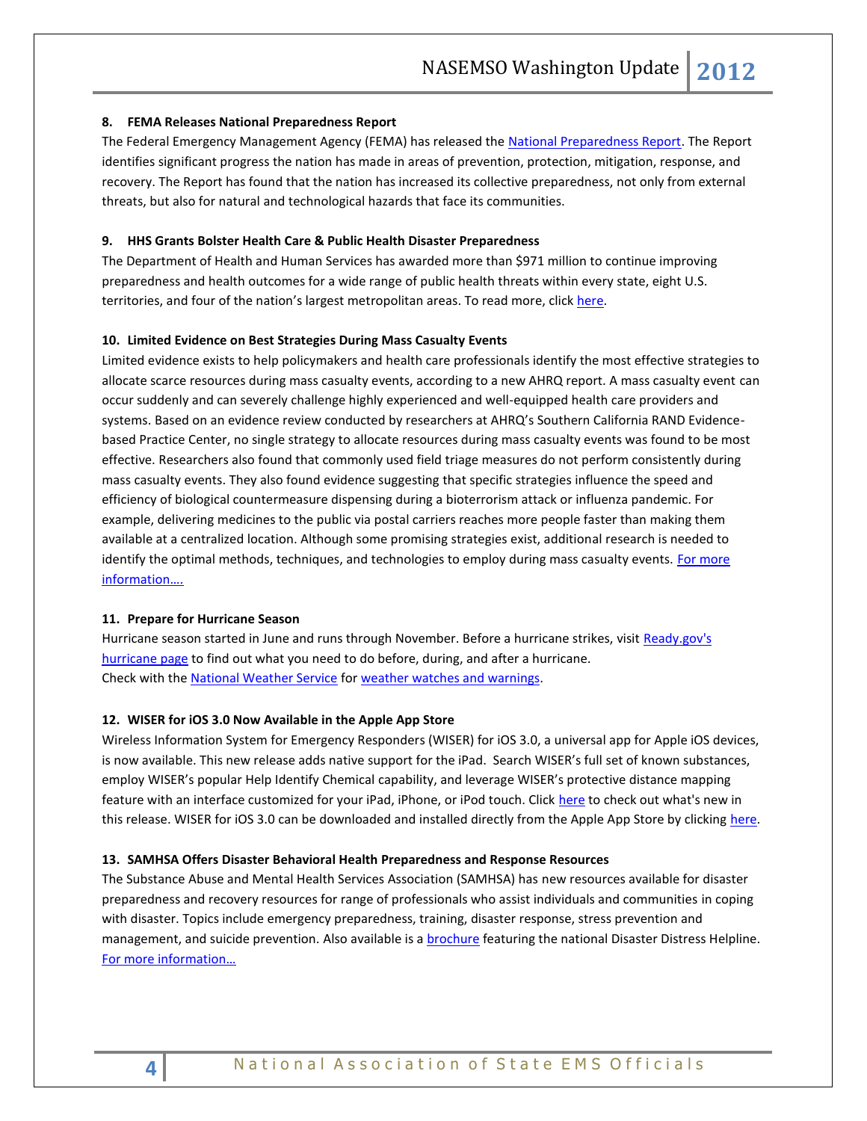### <span id="page-3-0"></span>**8. FEMA Releases National Preparedness Report**

The Federal Emergency Management Agency (FEMA) has released the [National Preparedness Report.](http://click.bsftransmit1.com/ClickThru.aspx?pubids=8731%7c0313%7c445%7c497&digest=Vezo0crTM0%2flrj7c2BTo3w&sysid=1) The Report identifies significant progress the nation has made in areas of prevention, protection, mitigation, response, and recovery. The Report has found that the nation has increased its collective preparedness, not only from external threats, but also for natural and technological hazards that face its communities.

### <span id="page-3-1"></span>**9. HHS Grants Bolster Health Care & Public Health Disaster Preparedness**

The Department of Health and Human Services has awarded more than \$971 million to continue improving preparedness and health outcomes for a wide range of public health threats within every state, eight U.S. territories, and four of the nation's largest metropolitan areas. To read more, clic[k here.](http://cts.vresp.com/c/?NationalAssociationo/2029de33ed/a8b1f77e6c/f341f4b0f9)

### <span id="page-3-2"></span>**10. Limited Evidence on Best Strategies During Mass Casualty Events**

Limited evidence exists to help policymakers and health care professionals identify the most effective strategies to allocate scarce resources during mass casualty events, according to a new AHRQ report. A mass casualty event can occur suddenly and can severely challenge highly experienced and well-equipped health care providers and systems. Based on an evidence review conducted by researchers at AHRQ's Southern California RAND Evidencebased Practice Center, no single strategy to allocate resources during mass casualty events was found to be most effective. Researchers also found that commonly used field triage measures do not perform consistently during mass casualty events. They also found evidence suggesting that specific strategies influence the speed and efficiency of biological countermeasure dispensing during a bioterrorism attack or influenza pandemic. For example, delivering medicines to the public via postal carriers reaches more people faster than making them available at a centralized location. Although some promising strategies exist, additional research is needed to identify the optimal methods, techniques, and technologies to employ during mass casualty events. For more [information…](http://www.ahrq.gov/clinic/tp/scarcerestp.htm#Report).

### <span id="page-3-3"></span>**11. Prepare for Hurricane Season**

Hurricane season started in June and runs through November. Before a hurricane strikes, visit Ready.gov's [hurricane page](http://cts.vresp.com/c/?NationalAssociationo/2029de33ed/a8b1f77e6c/e0188b1632/type=click&enid=ZWFzPTEmbWFpbGluZ2lkPTIwMTIwNzAxLjg3MTI4NDEmbWVzc2FnZWlkPU1EQi1QUkQtQlVMLTIwMTIwNzAxLjg3MTI4NDEmZGF0YWJhc2VpZD0xMDAxJnNlcmlhbD0xNzA1Njg1NiZlbWFpbGlkPWFsdGVyQG5hc2Vtc28ub3JnJnVzZXJpZD1hbHRlckBuYXNlbXNvLm9yZyZmbD0mZXh0cmE9TXVsdGl2YXJpYXRlSWQ9JiYm&&&100&&&http://www.ready.gov/hurricanes/) to find out what you need to do before, during, and after a hurricane. Check with th[e National Weather Service](http://cts.vresp.com/c/?NationalAssociationo/2029de33ed/a8b1f77e6c/0f2c942c20/type=click&enid=ZWFzPTEmbWFpbGluZ2lkPTIwMTIwNzAxLjg3MTI4NDEmbWVzc2FnZWlkPU1EQi1QUkQtQlVMLTIwMTIwNzAxLjg3MTI4NDEmZGF0YWJhc2VpZD0xMDAxJnNlcmlhbD0xNzA1Njg1NiZlbWFpbGlkPWFsdGVyQG5hc2Vtc28ub3JnJnVzZXJpZD1hbHRlckBuYXNlbXNvLm9yZyZmbD0mZXh0cmE9TXVsdGl2YXJpYXRlSWQ9JiYm&&&101&&&http://www.nhc.noaa.gov/prepare/) for [weather watches and warnings.](http://cts.vresp.com/c/?NationalAssociationo/2029de33ed/a8b1f77e6c/8e81898588/type=click&enid=ZWFzPTEmbWFpbGluZ2lkPTIwMTIwNzAxLjg3MTI4NDEmbWVzc2FnZWlkPU1EQi1QUkQtQlVMLTIwMTIwNzAxLjg3MTI4NDEmZGF0YWJhc2VpZD0xMDAxJnNlcmlhbD0xNzA1Njg1NiZlbWFpbGlkPWFsdGVyQG5hc2Vtc28ub3JnJnVzZXJpZD1hbHRlckBuYXNlbXNvLm9yZyZmbD0mZXh0cmE9TXVsdGl2YXJpYXRlSWQ9JiYm&&&102&&&http://www.nhc.noaa.gov/prepare/wwa.php)

### <span id="page-3-4"></span>**12. WISER for iOS 3.0 Now Available in the Apple App Store**

Wireless Information System for Emergency Responders (WISER) for iOS 3.0, a universal app for Apple iOS devices, is now available. This new release adds native support for the iPad. Search WISER's full set of known substances, employ WISER's popular Help Identify Chemical capability, and leverage WISER's protective distance mapping feature with an interface customized for your iPad, iPhone, or iPod touch. Clic[k here](http://wiser.nlm.nih.gov/whats_new_iOS_3_0.html) to check out what's new in this release. WISER for iOS 3.0 can be downloaded and installed directly from the Apple App Store by clicking [here.](http://itunes.apple.com/us/app/wiser-for-ios/id375185381?mt=8)

### <span id="page-3-5"></span>**13. SAMHSA Offers Disaster Behavioral Health Preparedness and Response Resources**

The Substance Abuse and Mental Health Services Association (SAMHSA) has new resources available for disaster preparedness and recovery resources for range of professionals who assist individuals and communities in coping with disaster. Topics include emergency preparedness, training, disaster response, stress prevention and management, and suicide prevention. Also available is a **brochure** featuring the national Disaster Distress Helpline. F[or more information…](http://store.samhsa.gov/product/Disaster-Behavioral-Health-Preparedness-and-Response-Resources/DTAC11-CATALOG)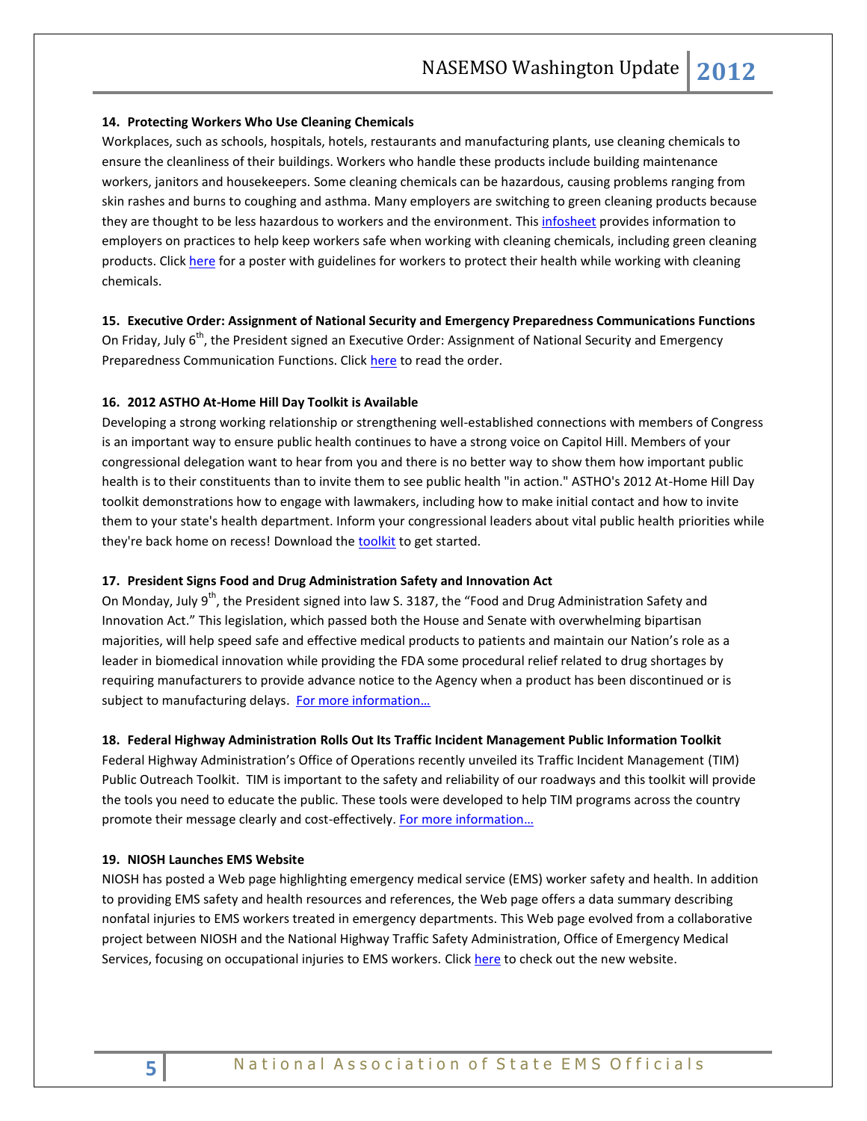### <span id="page-4-0"></span>**14. Protecting Workers Who Use Cleaning Chemicals**

Workplaces, such as schools, hospitals, hotels, restaurants and manufacturing plants, use cleaning chemicals to ensure the cleanliness of their buildings. Workers who handle these products include building maintenance workers, janitors and housekeepers. Some cleaning chemicals can be hazardous, causing problems ranging from skin rashes and burns to coughing and asthma. Many employers are switching to green cleaning products because they are thought to be less hazardous to workers and the environment. This [infosheet](http://www.cdc.gov/niosh/docs/2012-126/pdfs/2012-126.pdf) provides information to employers on practices to help keep workers safe when working with cleaning chemicals, including green cleaning products. Click [here](http://www.cdc.gov/niosh/docs/2012-125/pdfs/2012-125.pdf) for a poster with guidelines for workers to protect their health while working with cleaning chemicals.

### <span id="page-4-2"></span><span id="page-4-1"></span>**15. Executive Order: Assignment of National Security and Emergency Preparedness Communications Functions**

On Friday, July 6<sup>th</sup>, the President signed an Executive Order: Assignment of National Security and Emergency Preparedness Communication Functions. Clic[k here](http://www.whitehouse.gov/the-press-office/2012/07/06/executive-order-assignment-national-security-and-emergency-preparedness-) to read the order.

### <span id="page-4-3"></span>**16. 2012 ASTHO At-Home Hill Day Toolkit is Available**

Developing a strong working relationship or strengthening well-established connections with members of Congress is an important way to ensure public health continues to have a strong voice on Capitol Hill. Members of your congressional delegation want to hear from you and there is no better way to show them how important public health is to their constituents than to invite them to see public health "in action." ASTHO's 2012 At-Home Hill Day toolkit demonstrations how to engage with lawmakers, including how to make initial contact and how to invite them to your state's health department. Inform your congressional leaders about vital public health priorities while they're back home on recess! Download the [toolkit](http://r20.rs6.net/tn.jsp?e=0015TeXKVT8vR9RbXyLEbgYG-5CPT0VDY9_96olTk5LhDKHoUVD1vj6UCp5C2_winHWNgYXyspjOj2xvYg4bi11k8Bg1avWaixvWcIujDOITF6coFejVsxvN_ZtZir6mkpJm8C8xZZOxma1Q4cgW0WV-YxBC4WwD__2) to get started.

### <span id="page-4-4"></span>**17. President Signs Food and Drug Administration Safety and Innovation Act**

On Monday, July 9<sup>th</sup>, the President signed into law S. 3187, the "Food and Drug Administration Safety and Innovation Act." This legislation, which passed both the House and Senate with overwhelming bipartisan majorities, will help speed safe and effective medical products to patients and maintain our Nation's role as a leader in biomedical innovation while providing the FDA some procedural relief related to drug shortages by requiring manufacturers to provide advance notice to the Agency when a product has been discontinued or is subject to manufacturing delays. For more information...

# <span id="page-4-5"></span>**18. Federal Highway Administration Rolls Out Its Traffic Incident Management Public Information Toolkit**

Federal Highway Administration's Office of Operations recently unveiled its Traffic Incident Management (TIM) Public Outreach Toolkit. TIM is important to the safety and reliability of our roadways and this toolkit will provide the tools you need to educate the public. These tools were developed to help TIM programs across the country promote their message clearly and cost-effectively. [For more information…](http://ops.fhwa.dot.gov/eto_tim_pse/timtoolbox/index.htm)

### <span id="page-4-7"></span><span id="page-4-6"></span>**19. NIOSH Launches EMS Website**

NIOSH has posted a Web page highlighting emergency medical service (EMS) worker safety and health. In addition to providing EMS safety and health resources and references, the Web page offers a data summary describing nonfatal injuries to EMS workers treated in emergency departments. This Web page evolved from a collaborative project between NIOSH and the National Highway Traffic Safety Administration, Office of Emergency Medical Services, focusing on occupational injuries to EMS workers. Click [here](http://www.cdc.gov/niosh/topics/ems/) to check out the new website.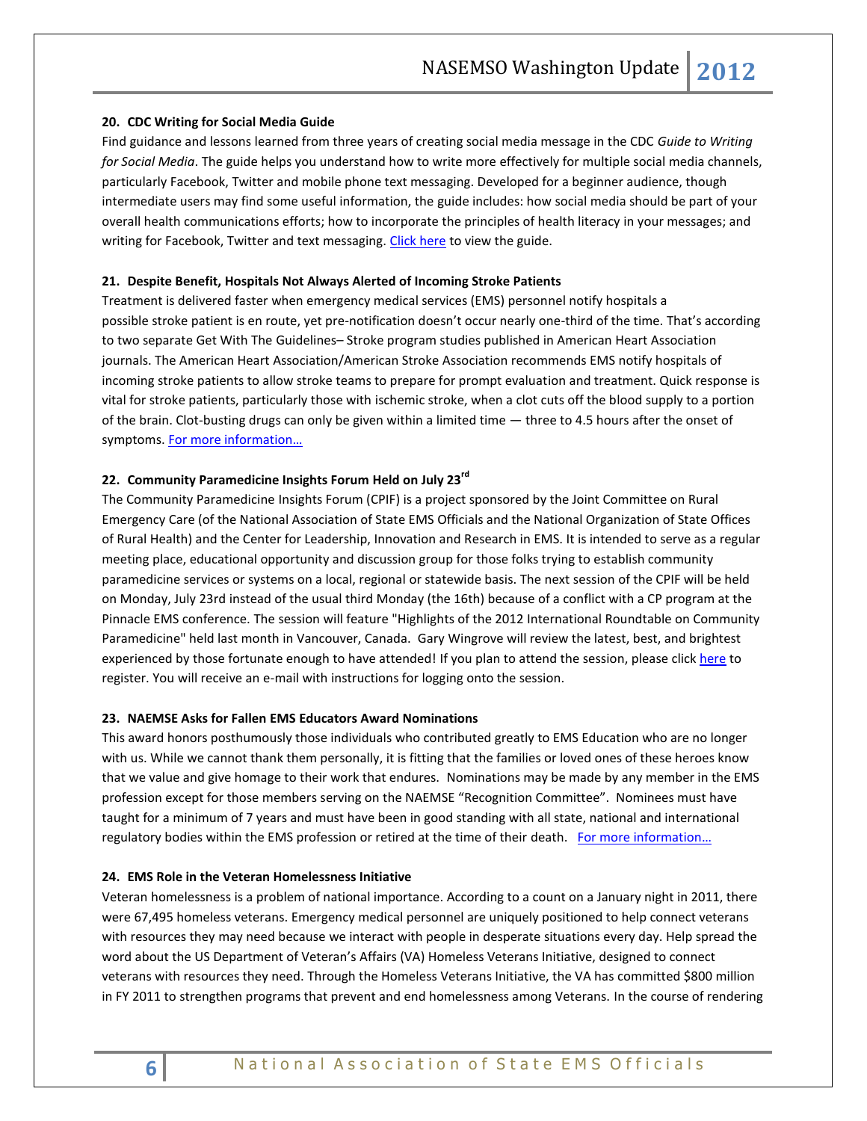### <span id="page-5-0"></span>**20. CDC Writing for Social Media Guide**

Find guidance and lessons learned from three years of creating social media message in the CDC *Guide to Writing for Social Media*. The guide helps you understand how to write more effectively for multiple social media channels, particularly Facebook, Twitter and mobile phone text messaging. Developed for a beginner audience, though intermediate users may find some useful information, the guide includes: how social media should be part of your overall health communications efforts; how to incorporate the principles of health literacy in your messages; and writing for Facebook, Twitter and text messaging. [Click here](http://www.cdc.gov/socialmedia/Tools/guidelines/pdf/GuidetoWritingforSocialMedia.pdf) to view the guide.

### <span id="page-5-2"></span><span id="page-5-1"></span>**21. Despite Benefit, Hospitals Not Always Alerted of Incoming Stroke Patients**

Treatment is delivered faster when emergency medical services (EMS) personnel notify hospitals a possible stroke patient is en route, yet pre-notification doesn't occur nearly one-third of the time. That's according to two separate Get With The Guidelines– Stroke program studies published in American Heart Association journals. The American Heart Association/American Stroke Association recommends EMS notify hospitals of incoming stroke patients to allow stroke teams to prepare for prompt evaluation and treatment. Quick response is vital for stroke patients, particularly those with ischemic stroke, when a clot cuts off the blood supply to a portion of the brain. Clot-busting drugs can only be given within a limited time — three to 4.5 hours after the onset of symptoms. [For more information…](http://newsroom.heart.org/pr/aha/despite-benefit-hospitals-not-236121.aspx)

### <span id="page-5-3"></span>**22. Community Paramedicine Insights Forum Held on July 23rd**

The Community Paramedicine Insights Forum (CPIF) is a project sponsored by the Joint Committee on Rural Emergency Care (of the National Association of State EMS Officials and the National Organization of State Offices of Rural Health) and the Center for Leadership, Innovation and Research in EMS. It is intended to serve as a regular meeting place, educational opportunity and discussion group for those folks trying to establish community paramedicine services or systems on a local, regional or statewide basis. The next session of the CPIF will be held on Monday, July 23rd instead of the usual third Monday (the 16th) because of a conflict with a CP program at the Pinnacle EMS conference. The session will feature "Highlights of the 2012 International Roundtable on Community Paramedicine" held last month in Vancouver, Canada. Gary Wingrove will review the latest, best, and brightest experienced by those fortunate enough to have attended! If you plan to attend the session, please click [here](http://cpif.communityparamedic.org/) to register. You will receive an e-mail with instructions for logging onto the session.

### <span id="page-5-4"></span>**23. NAEMSE Asks for Fallen EMS Educators Award Nominations**

This award honors posthumously those individuals who contributed greatly to EMS Education who are no longer with us. While we cannot thank them personally, it is fitting that the families or loved ones of these heroes know that we value and give homage to their work that endures.Nominations may be made by any member in the EMS profession except for those members serving on the NAEMSE "Recognition Committee". Nominees must have taught for a minimum of 7 years and must have been in good standing with all state, national and international regulatory bodies within the EMS profession or retired at the time of their death. For more information...

### <span id="page-5-5"></span>**24. EMS Role in the Veteran Homelessness Initiative**

Veteran homelessness is a problem of national importance. According to a count on a January night in 2011, there were 67,495 homeless veterans. Emergency medical personnel are uniquely positioned to help connect veterans with resources they may need because we interact with people in desperate situations every day. Help spread the word about the US Department of Veteran's Affairs (VA) Homeless Veterans Initiative, designed to connect veterans with resources they need. Through the Homeless Veterans Initiative, the VA has committed \$800 million in FY 2011 to strengthen programs that prevent and end homelessness among Veterans. In the course of rendering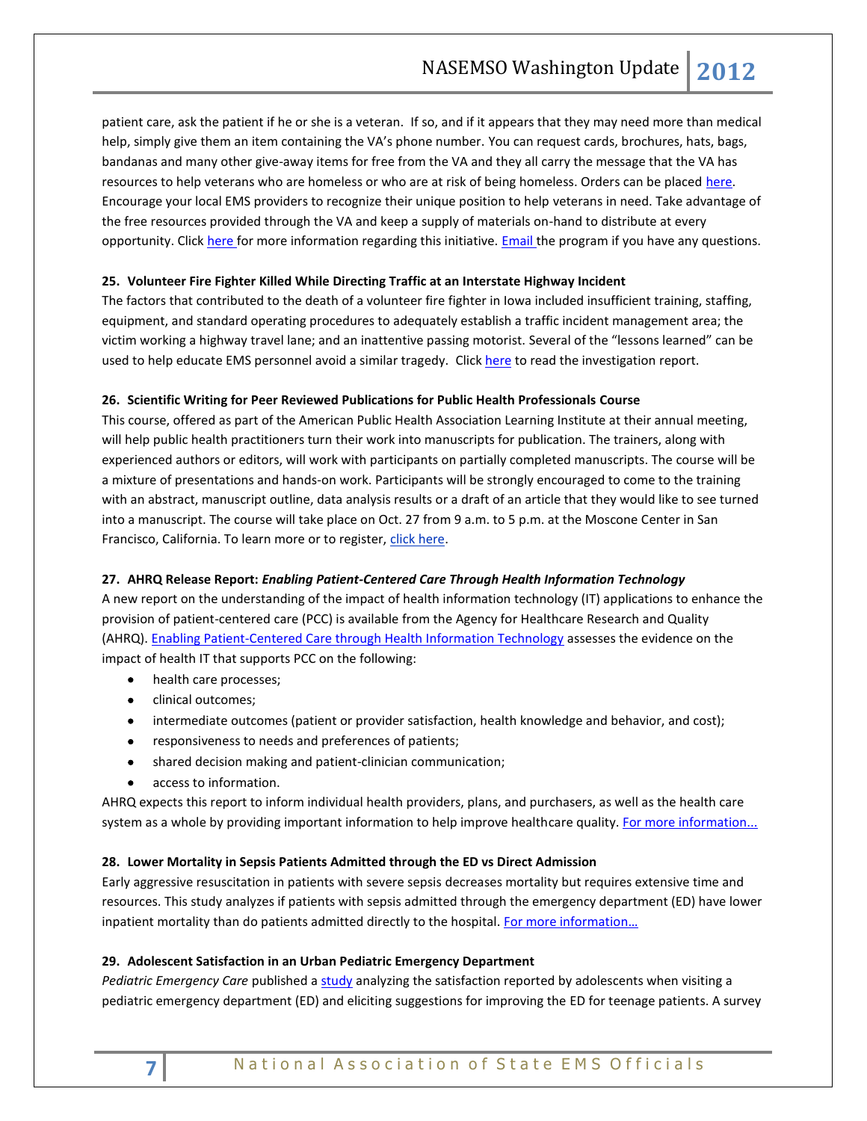patient care, ask the patient if he or she is a veteran. If so, and if it appears that they may need more than medical help, simply give them an item containing the VA's phone number. You can request cards, brochures, hats, bags, bandanas and many other give-away items for free from the VA and they all carry the message that the VA has resources to help veterans who are homeless or who are at risk of being homeless. Orders can be placed here. Encourage your local EMS providers to recognize their unique position to help veterans in need. Take advantage of the free resources provided through the VA and keep a supply of materials on-hand to distribute at every opportunity. Clic[k here f](http://cts.vresp.com/c/?NationalAssociationo/2029de33ed/a8b1f77e6c/6f235219f9)or more information regarding this initiative. **Email** the program if you have any questions.

# <span id="page-6-0"></span>**25. Volunteer Fire Fighter Killed While Directing Traffic at an Interstate Highway Incident**

The factors that contributed to the death of a volunteer fire fighter in Iowa included insufficient training, staffing, equipment, and standard operating procedures to adequately establish a traffic incident management area; the victim working a highway travel lane; and an inattentive passing motorist. Several of the "lessons learned" can be used to help educate EMS personnel avoid a similar tragedy. Clic[k here](http://www.cdc.gov/niosh/fire/reports/face201123.html) to read the investigation report.

### <span id="page-6-1"></span>**26. Scientific Writing for Peer Reviewed Publications for Public Health Professionals Course**

This course, offered as part of the American Public Health Association Learning Institute at their annual meeting, will help public health practitioners turn their work into manuscripts for publication. The trainers, along with experienced authors or editors, will work with participants on partially completed manuscripts. The course will be a mixture of presentations and hands-on work. Participants will be strongly encouraged to come to the training with an abstract, manuscript outline, data analysis results or a draft of an article that they would like to see turned into a manuscript. The course will take place on Oct. 27 from 9 a.m. to 5 p.m. at the Moscone Center in San Francisco, California. To learn more or to register, [click here.](http://cts.vresp.com/c/?NationalAssociationo/2029de33ed/a8b1f77e6c/13e7e06047)

# <span id="page-6-2"></span>**27. AHRQ Release Report:** *Enabling Patient-Centered Care Through Health Information Technology*

A new report on the understanding of the impact of health information technology (IT) applications to enhance the provision of patient-centered care (PCC) is available from the Agency for Healthcare Research and Quality (AHRQ). [Enabling Patient-Centered Care through Health Information Technology](http://cts.vresp.com/c/?NationalAssociationo/2029de33ed/a8b1f77e6c/6d2d11fc89) assesses the evidence on the impact of health IT that supports PCC on the following:

- health care processes;
- clinical outcomes;
- intermediate outcomes (patient or provider satisfaction, health knowledge and behavior, and cost);
- **•** responsiveness to needs and preferences of patients;
- shared decision making and patient-clinician communication;
- access to information.

AHRQ expects this report to inform individual health providers, plans, and purchasers, as well as the health care system as a whole by providing important information to help improve healthcare quality. [For more information...](http://cts.vresp.com/c/?NationalAssociationo/2029de33ed/a8b1f77e6c/fe96ca65e5)

# <span id="page-6-4"></span><span id="page-6-3"></span>**28. Lower Mortality in Sepsis Patients Admitted through the ED vs Direct Admission**

Early aggressive resuscitation in patients with severe sepsis decreases mortality but requires extensive time and resources. This study analyzes if patients with sepsis admitted through the emergency department (ED) have lower inpatient mortality than do patients admitted directly to the hospital. For more information...

# <span id="page-6-5"></span>**29. Adolescent Satisfaction in an Urban Pediatric Emergency Department**

*Pediatric Emergency Care* published a [study](http://cts.vresp.com/c/?NationalAssociationo/2029de33ed/a8b1f77e6c/dc04a98749) analyzing the satisfaction reported by adolescents when visiting a pediatric emergency department (ED) and eliciting suggestions for improving the ED for teenage patients. A survey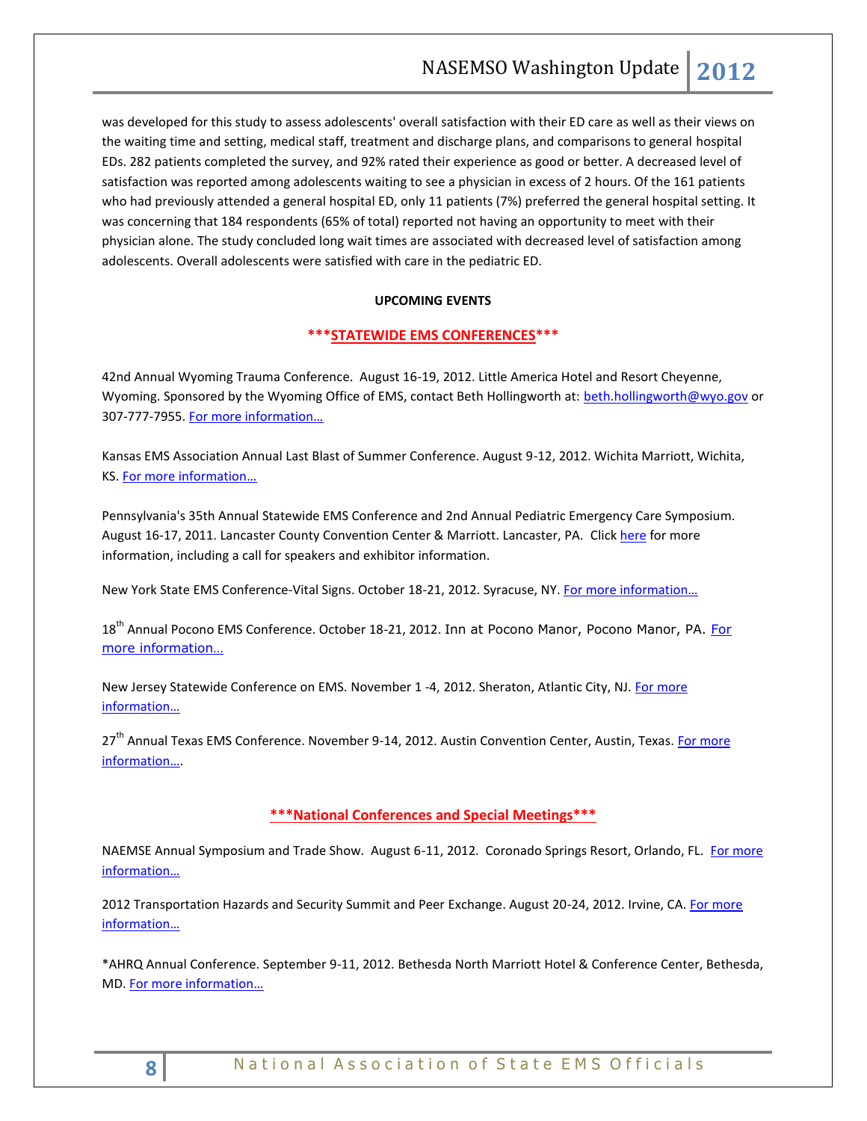was developed for this study to assess adolescents' overall satisfaction with their ED care as well as their views on the waiting time and setting, medical staff, treatment and discharge plans, and comparisons to general hospital EDs. 282 patients completed the survey, and 92% rated their experience as good or better. A decreased level of satisfaction was reported among adolescents waiting to see a physician in excess of 2 hours. Of the 161 patients who had previously attended a general hospital ED, only 11 patients (7%) preferred the general hospital setting. It was concerning that 184 respondents (65% of total) reported not having an opportunity to meet with their physician alone. The study concluded long wait times are associated with decreased level of satisfaction among adolescents. Overall adolescents were satisfied with care in the pediatric ED.

# **UPCOMING EVENTS**

# <span id="page-7-0"></span>**\*\*\*STATEWIDE EMS CONFERENCES\*\*\***

42nd Annual Wyoming Trauma Conference. August 16-19, 2012. Little America Hotel and Resort Cheyenne, Wyoming. Sponsored by the Wyoming Office of EMS, contact Beth Hollingworth at: [beth.hollingworth@wyo.gov](mailto:beth.hollingworth@wyo.gov) or 307-777-7955. For more information...

Kansas EMS Association Annual Last Blast of Summer Conference. August 9-12, 2012. Wichita Marriott, Wichita, KS. [For more information…](http://www.kemsa.org/LBOS.html) 

Pennsylvania's 35th Annual Statewide EMS Conference and 2nd Annual Pediatric Emergency Care Symposium. August 16-17, 2011. Lancaster County Convention Center & Marriott. Lancaster, PA. Click [here](http://www.cvent.com/events/35th-annual-pennsylvania-statewide-ems-conference/event-summary-dd4555c433834f8aada4af9332575af6.aspx) for more information, including a call for speakers and exhibitor information.

New York State EMS Conference-Vital Signs. October 18-21, 2012. Syracuse, NY. For more information...

18<sup>th</sup> Annual Pocono EMS Conference. October 18-21, 2012. Inn at Pocono Manor, Pocono Manor, PA. For [more information…](http://www.poconoemsconference.com/)

New Jersey Statewide Conference on EMS. November 1 -4, 2012. Sheraton, Atlantic City, NJ[. For more](http://www.njemsconference.com/)  [information…](http://www.njemsconference.com/)

27<sup>th</sup> Annual Texas EMS Conference. November 9-14, 2012. Austin Convention Center, Austin, Texas. For more [information…](http://www.texasemsconference.com/).

# <span id="page-7-1"></span>**\*\*\*National Conferences and Special Meetings\*\*\***

NAEMSE Annual Symposium and Trade Show. August 6-11, 2012. Coronado Springs Resort, Orlando, FL. For more [information…](http://www.naemse.org/symposium)

2012 Transportation Hazards and Security Summit and Peer Exchange. August 20-24, 2012. Irvine, CA. For more [information…](http://www.trb.org/Calendar/Blurbs/166997.aspx)

\*AHRQ Annual Conference. September 9-11, 2012. Bethesda North Marriott Hotel & Conference Center, Bethesda, MD. [For more information…](http://meetings.capconcorp.com/ahrq/)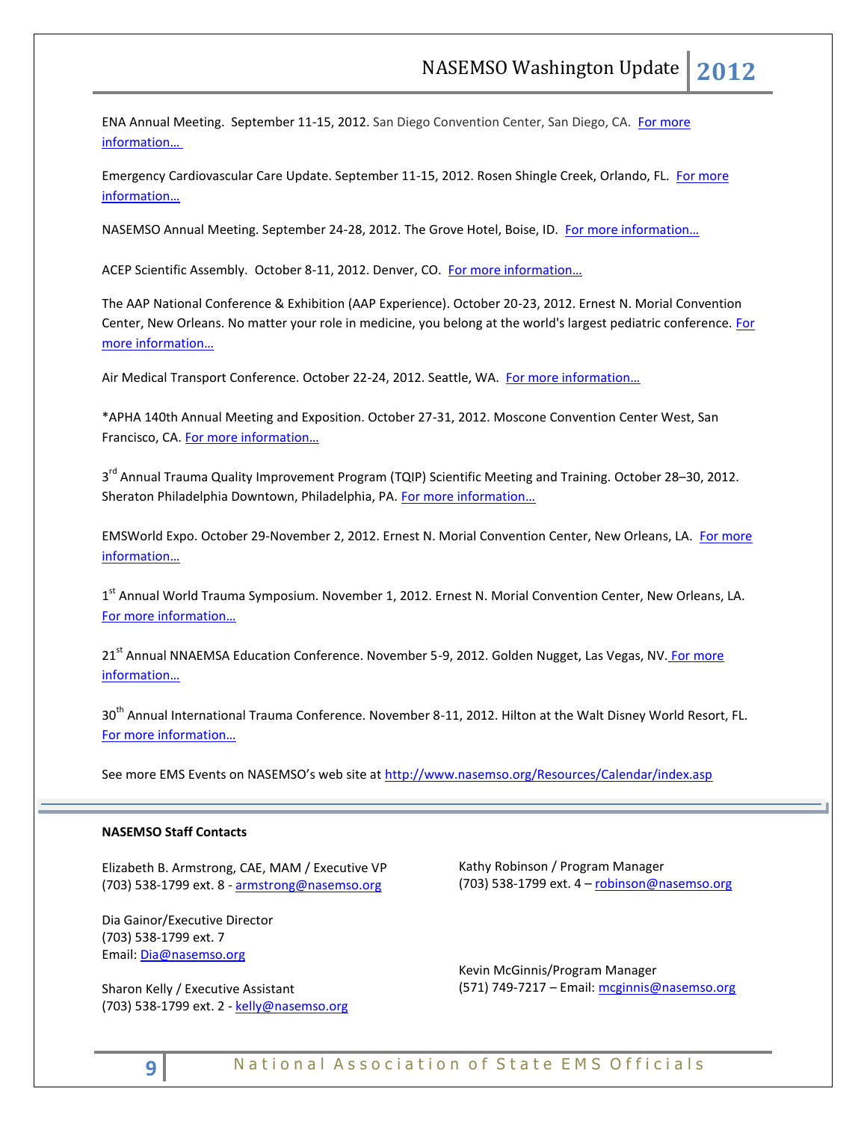ENA Annual Meeting. September 11-15, 2012. San Diego Convention Center, San Diego, CA. For more [information…](http://www.ena.org/coursesandeducation/conferences/Pages/Default.aspx)

Emergency Cardiovascular Care Update. September 11-15, 2012. Rosen Shingle Creek, Orlando, FL. [For more](http://www.eccu2012.com/)  [information…](http://www.eccu2012.com/)

NASEMSO Annual Meeting. September 24-28, 2012. The Grove Hotel, Boise, ID. For more information...

ACEP Scientific Assembly. October 8-11, 2012. Denver, CO. [For more information…](http://www.acep.org/Education/Continuing-Medical-Education-(CME)/Meetings/Future-Scientific-Assembly-Dates/)

The AAP National Conference & Exhibition (AAP Experience). October 20-23, 2012. Ernest N. Morial Convention Center, New Orleans. No matter your role in medicine, you belong at the world's largest pediatric conference. For [more information…](http://www.aapexperience.org/)

Air Medical Transport Conference. October 22-24, 2012. Seattle, WA. [For more information…](http://www.aams.org/AAMS/Education___Meetings/AMTC_2012/aams/EducationMeetings/AMTC_2012/AMTC_2012_Overview.aspx)

\*APHA 140th Annual Meeting and Exposition. October 27-31, 2012. Moscone Convention Center West, San Francisco, CA. [For more information…](http://www.apha.org/meetings/AnnualMeeting/)

3<sup>rd</sup> Annual Trauma Quality Improvement Program (TQIP) Scientific Meeting and Training. October 28–30, 2012. Sheraton Philadelphia Downtown, Philadelphia, PA. For more information...

EMSWorld Expo. October 29-November 2, 2012. Ernest N. Morial Convention Center, New Orleans, LA. For more [information…](http://emsworldexpo.com/)

1<sup>st</sup> Annual World Trauma Symposium. November 1, 2012. Ernest N. Morial Convention Center, New Orleans, LA. [For more information…](http://www.worldtraumasymposium.com/)

21<sup>st</sup> Annual NNAEMSA Education Conference. November 5-9, 2012. Golden Nugget, Las Vegas, NV. For more [information…](http://www.nnaemsa.org/)

30<sup>th</sup> Annual International Trauma Conference. November 8-11, 2012. Hilton at the Walt Disney World Resort, FL. [For more informat](http://www.itrauma.org/conference/)ion…

See more EMS Events on NASEMSO's web site at <http://www.nasemso.org/Resources/Calendar/index.asp>

# **NASEMSO Staff Contacts**

Elizabeth B. Armstrong, CAE, MAM / Executive VP (703) 538-1799 ext. 8 - [armstrong@nasemso.org](mailto:armstrong@nasemso.org)

Dia Gainor/Executive Director (703) 538-1799 ext. 7 Email: [Dia@nasemso.org](mailto:Dia@nasemso.org)

Sharon Kelly / Executive Assistant (703) 538-1799 ext. 2 - [kelly@nasemso.org](mailto:kelly@nasemso.org)

Kathy Robinson / Program Manager (703) 538-1799 ext. 4 – [robinson@nasemso.org](mailto:robinson@nasemso.org)

Kevin McGinnis/Program Manager (571) 749-7217 - Email: [mcginnis@nasemso.org](mailto:mcginnis@nasemso.org)